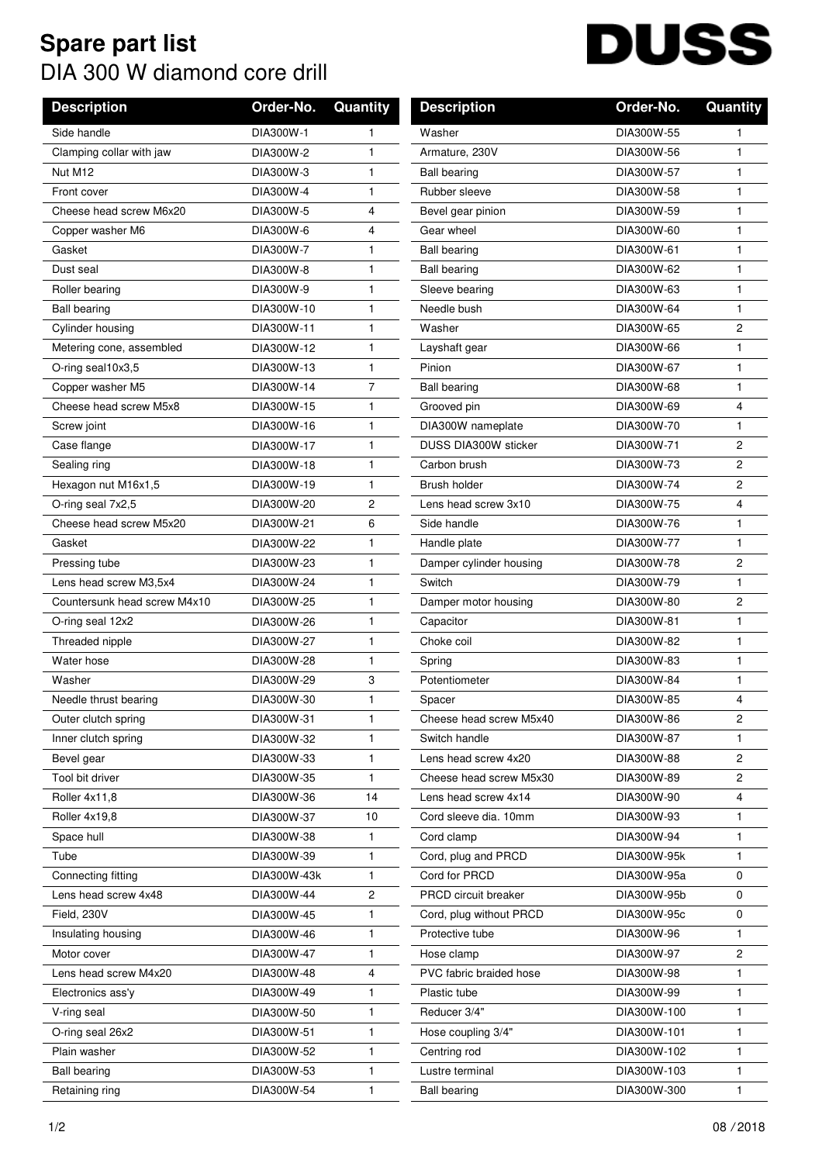## **Spare part list** DIA 300 W diamond core drill

## **DUSS**

| <b>Description</b>           | Order-No.   | Quantity       | <b>Description</b>      | Order-No.   | <b>Quantity</b> |
|------------------------------|-------------|----------------|-------------------------|-------------|-----------------|
| Side handle                  | DIA300W-1   | 1              | Washer                  | DIA300W-55  |                 |
| Clamping collar with jaw     | DIA300W-2   | 1              | Armature, 230V          | DIA300W-56  | 1               |
| Nut M12                      | DIA300W-3   | 1              | <b>Ball bearing</b>     | DIA300W-57  | 1               |
| Front cover                  | DIA300W-4   | 1              | Rubber sleeve           | DIA300W-58  | 1               |
| Cheese head screw M6x20      | DIA300W-5   | 4              | Bevel gear pinion       | DIA300W-59  | 1               |
| Copper washer M6             | DIA300W-6   | 4              | Gear wheel              | DIA300W-60  | 1               |
| Gasket                       | DIA300W-7   | 1              | <b>Ball bearing</b>     | DIA300W-61  | 1               |
| Dust seal                    | DIA300W-8   | 1              | <b>Ball bearing</b>     | DIA300W-62  | 1               |
| Roller bearing               | DIA300W-9   | $\mathbf{1}$   | Sleeve bearing          | DIA300W-63  | 1               |
| <b>Ball bearing</b>          | DIA300W-10  | 1              | Needle bush             | DIA300W-64  | 1               |
| Cylinder housing             | DIA300W-11  | 1              | Washer                  | DIA300W-65  | $\overline{c}$  |
| Metering cone, assembled     | DIA300W-12  | 1              | Layshaft gear           | DIA300W-66  | 1               |
| O-ring seal10x3,5            | DIA300W-13  | 1              | Pinion                  | DIA300W-67  | 1               |
| Copper washer M5             | DIA300W-14  | $\overline{7}$ | <b>Ball bearing</b>     | DIA300W-68  | 1               |
| Cheese head screw M5x8       | DIA300W-15  | 1              | Grooved pin             | DIA300W-69  | 4               |
| Screw joint                  | DIA300W-16  | 1              | DIA300W nameplate       | DIA300W-70  | 1               |
| Case flange                  | DIA300W-17  | $\mathbf{1}$   | DUSS DIA300W sticker    | DIA300W-71  | $\overline{c}$  |
| Sealing ring                 | DIA300W-18  | 1              | Carbon brush            | DIA300W-73  | $\overline{c}$  |
| Hexagon nut M16x1,5          | DIA300W-19  | 1              | Brush holder            | DIA300W-74  | $\overline{c}$  |
| O-ring seal 7x2,5            | DIA300W-20  | 2              | Lens head screw 3x10    | DIA300W-75  | 4               |
| Cheese head screw M5x20      | DIA300W-21  | 6              | Side handle             | DIA300W-76  | 1               |
| Gasket                       | DIA300W-22  | 1              | Handle plate            | DIA300W-77  | 1               |
| Pressing tube                | DIA300W-23  | $\mathbf{1}$   | Damper cylinder housing | DIA300W-78  | $\overline{2}$  |
| Lens head screw M3,5x4       | DIA300W-24  | 1              | Switch                  | DIA300W-79  | 1               |
| Countersunk head screw M4x10 | DIA300W-25  | 1              | Damper motor housing    | DIA300W-80  | $\overline{2}$  |
| O-ring seal 12x2             | DIA300W-26  | 1              | Capacitor               | DIA300W-81  | 1               |
| Threaded nipple              | DIA300W-27  | 1              | Choke coil              | DIA300W-82  | 1               |
| Water hose                   | DIA300W-28  | 1              | Spring                  | DIA300W-83  | 1               |
| Washer                       | DIA300W-29  | 3              | Potentiometer           | DIA300W-84  | 1               |
| Needle thrust bearing        | DIA300W-30  | 1              | Spacer                  | DIA300W-85  | 4               |
| Outer clutch spring          | DIA300W-31  | 1              | Cheese head screw M5x40 | DIA300W-86  | 2               |
| Inner clutch spring          | DIA300W-32  | 1              | Switch handle           | DIA300W-87  | 1               |
| Bevel gear                   | DIA300W-33  | 1              | Lens head screw 4x20    | DIA300W-88  | 2               |
| Tool bit driver              | DIA300W-35  | 1              | Cheese head screw M5x30 | DIA300W-89  | 2               |
| Roller 4x11,8                | DIA300W-36  | 14             | Lens head screw 4x14    | DIA300W-90  | 4               |
| Roller 4x19,8                | DIA300W-37  | 10             | Cord sleeve dia. 10mm   | DIA300W-93  | 1               |
| Space hull                   | DIA300W-38  | 1              | Cord clamp              | DIA300W-94  | 1               |
| Tube                         | DIA300W-39  | 1.             | Cord, plug and PRCD     | DIA300W-95k | 1               |
| Connecting fitting           | DIA300W-43k | $\mathbf{1}$   | Cord for PRCD           | DIA300W-95a | $\mathbf 0$     |
| Lens head screw 4x48         | DIA300W-44  | 2              | PRCD circuit breaker    | DIA300W-95b | 0               |
| Field, 230V                  | DIA300W-45  | 1              | Cord, plug without PRCD | DIA300W-95c | 0               |
| Insulating housing           | DIA300W-46  | 1              | Protective tube         | DIA300W-96  | 1               |
| Motor cover                  | DIA300W-47  | 1              | Hose clamp              | DIA300W-97  | 2               |
| Lens head screw M4x20        | DIA300W-48  | 4              | PVC fabric braided hose | DIA300W-98  | 1               |
| Electronics ass'y            | DIA300W-49  | 1              | Plastic tube            | DIA300W-99  | 1               |
| V-ring seal                  | DIA300W-50  | 1              | Reducer 3/4"            | DIA300W-100 | 1               |
| O-ring seal 26x2             | DIA300W-51  | 1              | Hose coupling 3/4"      | DIA300W-101 | 1               |
| Plain washer                 | DIA300W-52  | 1              | Centring rod            | DIA300W-102 | 1               |
| <b>Ball bearing</b>          | DIA300W-53  | 1              | Lustre terminal         | DIA300W-103 | 1               |
| Retaining ring               | DIA300W-54  | 1              | <b>Ball bearing</b>     | DIA300W-300 | 1               |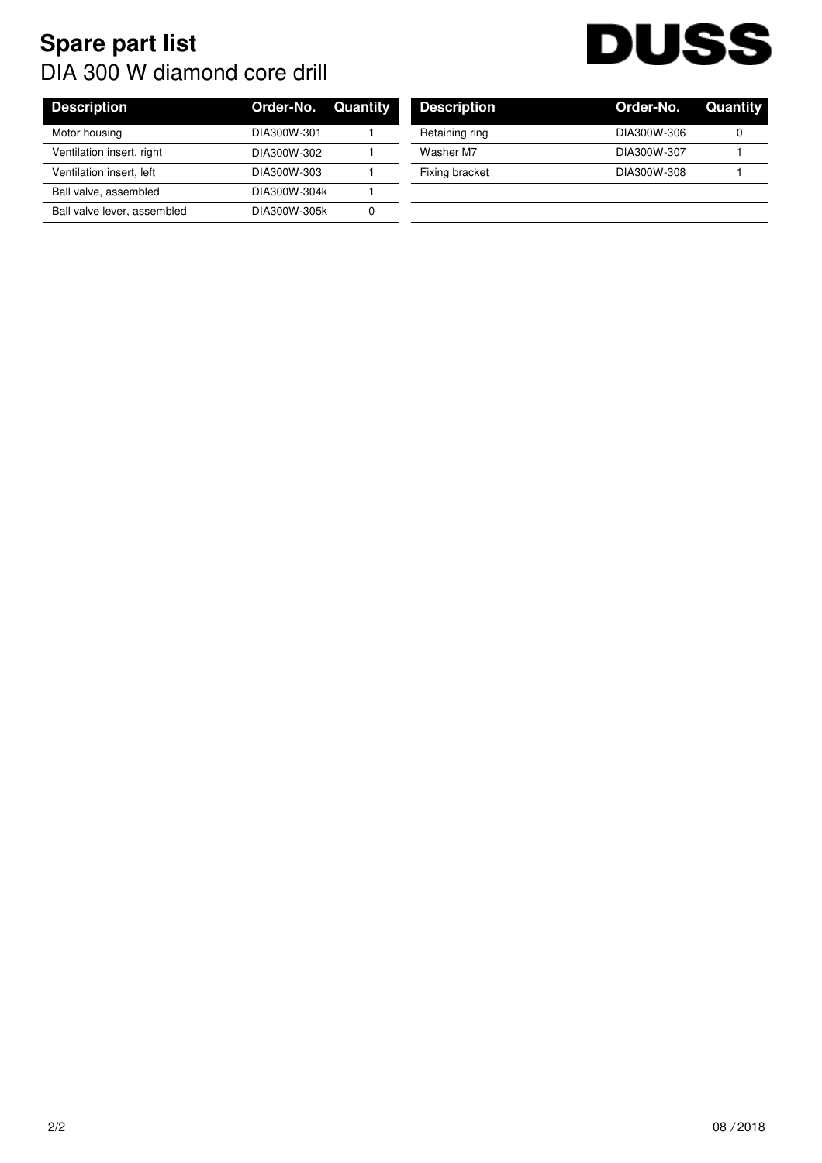## **Spare part list** DIA 300 W diamond core drill



|             | <b>Description</b>                                        | Order-No.   | Quan |
|-------------|-----------------------------------------------------------|-------------|------|
| DIA300W-301 | Retaining ring                                            | DIA300W-306 |      |
| DIA300W-302 | Washer M7                                                 | DIA300W-307 |      |
| DIA300W-303 | Fixing bracket                                            | DIA300W-308 |      |
|             |                                                           |             |      |
|             |                                                           |             |      |
|             | <b>Order-No. Quantity</b><br>DIA300W-304k<br>DIA300W-305k |             |      |

| <b>Description</b> | Order-No. Quantity |  |
|--------------------|--------------------|--|
| Retaining ring     | DIA300W-306        |  |
| Washer M7          | DIA300W-307        |  |
| Fixing bracket     | DIA300W-308        |  |
|                    |                    |  |